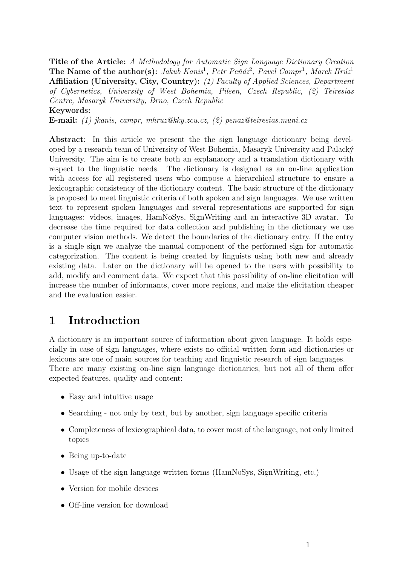Title of the Article: A Methodology for Automatic Sign Language Dictionary Creation The Name of the author(s): Jakub Kanis<sup>1</sup>, Petr Peňáz<sup>2</sup>, Pavel Campr<sup>1</sup>, Marek Hrúz<sup>1</sup> Affiliation (University, City, Country): (1) Faculty of Applied Sciences, Department of Cybernetics, University of West Bohemia, Pilsen, Czech Republic, (2) Teiresias Centre, Masaryk University, Brno, Czech Republic Keywords:

E-mail: (1) jkanis, campr, mhruz@kky.zcu.cz, (2) penaz@teiresias.muni.cz

Abstract: In this article we present the the sign language dictionary being developed by a research team of University of West Bohemia, Masaryk University and Palacký University. The aim is to create both an explanatory and a translation dictionary with respect to the linguistic needs. The dictionary is designed as an on-line application with access for all registered users who compose a hierarchical structure to ensure a lexicographic consistency of the dictionary content. The basic structure of the dictionary is proposed to meet linguistic criteria of both spoken and sign languages. We use written text to represent spoken languages and several representations are supported for sign languages: videos, images, HamNoSys, SignWriting and an interactive 3D avatar. To decrease the time required for data collection and publishing in the dictionary we use computer vision methods. We detect the boundaries of the dictionary entry. If the entry is a single sign we analyze the manual component of the performed sign for automatic categorization. The content is being created by linguists using both new and already existing data. Later on the dictionary will be opened to the users with possibility to add, modify and comment data. We expect that this possibility of on-line elicitation will increase the number of informants, cover more regions, and make the elicitation cheaper and the evaluation easier.

## 1 Introduction

A dictionary is an important source of information about given language. It holds especially in case of sign languages, where exists no official written form and dictionaries or lexicons are one of main sources for teaching and linguistic research of sign languages. There are many existing on-line sign language dictionaries, but not all of them offer expected features, quality and content:

- Easy and intuitive usage
- Searching not only by text, but by another, sign language specific criteria
- Completeness of lexicographical data, to cover most of the language, not only limited topics
- Being up-to-date
- Usage of the sign language written forms (HamNoSys, SignWriting, etc.)
- Version for mobile devices
- Off-line version for download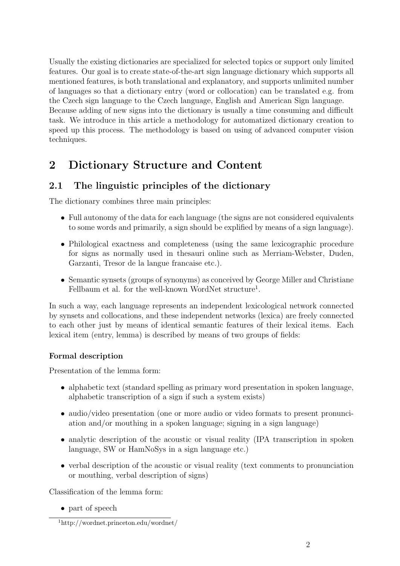Usually the existing dictionaries are specialized for selected topics or support only limited features. Our goal is to create state-of-the-art sign language dictionary which supports all mentioned features, is both translational and explanatory, and supports unlimited number of languages so that a dictionary entry (word or collocation) can be translated e.g. from the Czech sign language to the Czech language, English and American Sign language. Because adding of new signs into the dictionary is usually a time consuming and difficult task. We introduce in this article a methodology for automatized dictionary creation to speed up this process. The methodology is based on using of advanced computer vision techniques.

# 2 Dictionary Structure and Content

### 2.1 The linguistic principles of the dictionary

The dictionary combines three main principles:

- Full autonomy of the data for each language (the signs are not considered equivalents to some words and primarily, a sign should be explified by means of a sign language).
- Philological exactness and completeness (using the same lexicographic procedure for signs as normally used in thesauri online such as Merriam-Webster, Duden, Garzanti, Tresor de la langue francaise etc.).
- Semantic synsets (groups of synonyms) as conceived by George Miller and Christiane Fellbaum et al. for the well-known WordNet structure<sup>1</sup>.

In such a way, each language represents an independent lexicological network connected by synsets and collocations, and these independent networks (lexica) are freely connected to each other just by means of identical semantic features of their lexical items. Each lexical item (entry, lemma) is described by means of two groups of fields:

#### Formal description

Presentation of the lemma form:

- alphabetic text (standard spelling as primary word presentation in spoken language, alphabetic transcription of a sign if such a system exists)
- audio/video presentation (one or more audio or video formats to present pronunciation and/or mouthing in a spoken language; signing in a sign language)
- analytic description of the acoustic or visual reality (IPA transcription in spoken language, SW or HamNoSys in a sign language etc.)
- verbal description of the acoustic or visual reality (text comments to pronunciation or mouthing, verbal description of signs)

Classification of the lemma form:

• part of speech

<sup>1</sup>http://wordnet.princeton.edu/wordnet/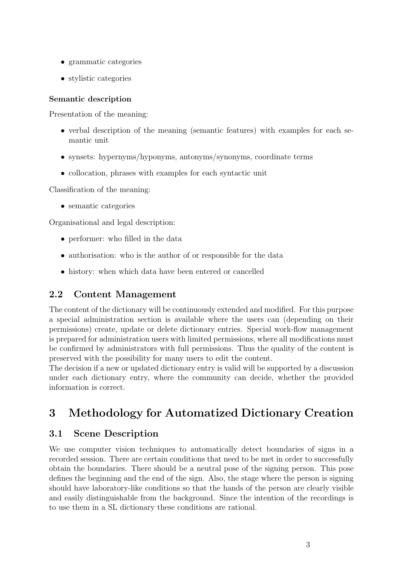- grammatic categories
- stylistic categories

#### Semantic description

Presentation of the meaning:

- verbal description of the meaning (semantic features) with examples for each semantic unit
- synsets: hypernyms/hyponyms, antonyms/synonyms, coordinate terms
- collocation, phrases with examples for each syntactic unit

Classification of the meaning:

• semantic categories

Organisational and legal description:

- performer: who filled in the data
- authorisation: who is the author of or responsible for the data
- history: when which data have been entered or cancelled

#### 2.2 Content Management

The content of the dictionary will be continuously extended and modified. For this purpose a special administration section is available where the users can (depending on their permissions) create, update or delete dictionary entries. Special work-flow management is prepared for administration users with limited permissions, where all modifications must be confirmed by administrators with full permissions. Thus the quality of the content is preserved with the possibility for many users to edit the content.

The decision if a new or updated dictionary entry is valid will be supported by a discussion under each dictionary entry, where the community can decide, whether the provided information is correct.

# 3 Methodology for Automatized Dictionary Creation

### 3.1 Scene Description

We use computer vision techniques to automatically detect boundaries of signs in a recorded session. There are certain conditions that need to be met in order to successfully obtain the boundaries. There should be a neutral pose of the signing person. This pose defines the beginning and the end of the sign. Also, the stage where the person is signing should have laboratory-like conditions so that the hands of the person are clearly visible and easily distinguishable from the background. Since the intention of the recordings is to use them in a SL dictionary these conditions are rational.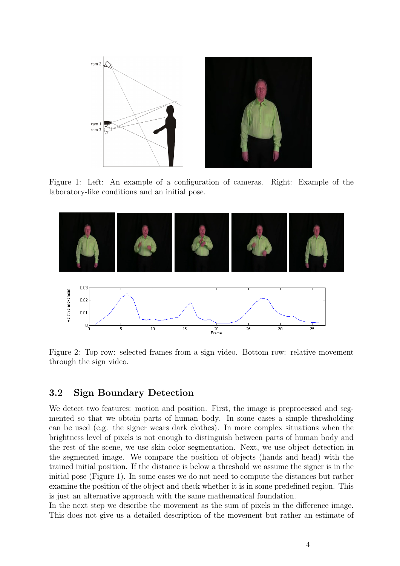

Figure 1: Left: An example of a configuration of cameras. Right: Example of the laboratory-like conditions and an initial pose.



Figure 2: Top row: selected frames from a sign video. Bottom row: relative movement through the sign video.

#### 3.2 Sign Boundary Detection

We detect two features: motion and position. First, the image is preprocessed and segmented so that we obtain parts of human body. In some cases a simple thresholding can be used (e.g. the signer wears dark clothes). In more complex situations when the brightness level of pixels is not enough to distinguish between parts of human body and the rest of the scene, we use skin color segmentation. Next, we use object detection in the segmented image. We compare the position of objects (hands and head) with the trained initial position. If the distance is below a threshold we assume the signer is in the initial pose (Figure 1). In some cases we do not need to compute the distances but rather examine the position of the object and check whether it is in some predefined region. This is just an alternative approach with the same mathematical foundation.

In the next step we describe the movement as the sum of pixels in the difference image. This does not give us a detailed description of the movement but rather an estimate of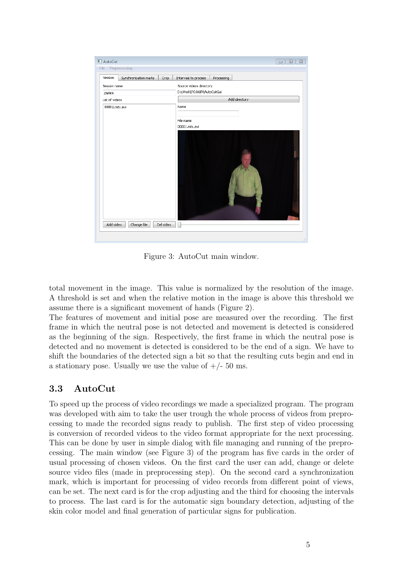| Session<br>Synchronization marks | Intervals to process<br>Crop |               | Processing |  |  |  |  |  |  |
|----------------------------------|------------------------------|---------------|------------|--|--|--|--|--|--|
| Session name                     | Source videos directory      |               |            |  |  |  |  |  |  |
| ZNAKR                            | D:\Work\POJABR\AutoCutGui    |               |            |  |  |  |  |  |  |
| List of videos                   |                              | Add directory |            |  |  |  |  |  |  |
| 00001.mts.avi                    | Name                         |               |            |  |  |  |  |  |  |
|                                  | File name                    |               |            |  |  |  |  |  |  |
|                                  | 00001.mts.avi                |               |            |  |  |  |  |  |  |
|                                  |                              |               |            |  |  |  |  |  |  |

Figure 3: AutoCut main window.

total movement in the image. This value is normalized by the resolution of the image. A threshold is set and when the relative motion in the image is above this threshold we assume there is a significant movement of hands (Figure 2).

The features of movement and initial pose are measured over the recording. The first frame in which the neutral pose is not detected and movement is detected is considered as the beginning of the sign. Respectively, the first frame in which the neutral pose is detected and no movement is detected is considered to be the end of a sign. We have to shift the boundaries of the detected sign a bit so that the resulting cuts begin and end in a stationary pose. Usually we use the value of  $+/- 50$  ms.

#### 3.3 AutoCut

To speed up the process of video recordings we made a specialized program. The program was developed with aim to take the user trough the whole process of videos from preprocessing to made the recorded signs ready to publish. The first step of video processing is conversion of recorded videos to the video format appropriate for the next processing. This can be done by user in simple dialog with file managing and running of the preprocessing. The main window (see Figure 3) of the program has five cards in the order of usual processing of chosen videos. On the first card the user can add, change or delete source video files (made in preprocessing step). On the second card a synchronization mark, which is important for processing of video records from different point of views, can be set. The next card is for the crop adjusting and the third for choosing the intervals to process. The last card is for the automatic sign boundary detection, adjusting of the skin color model and final generation of particular signs for publication.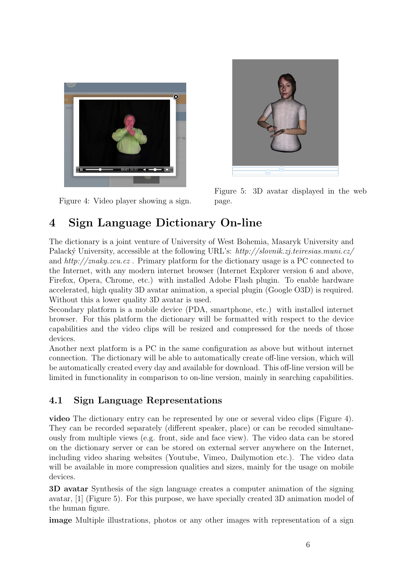

Figure 4: Video player showing a sign.



Figure 5: 3D avatar displayed in the web page.

# 4 Sign Language Dictionary On-line

The dictionary is a joint venture of University of West Bohemia, Masaryk University and Palacký University, accessible at the following URL's: http://slovnik.zj.teiresias.muni.cz/ and  $http://znaky.zcu.cz$ . Primary platform for the dictionary usage is a PC connected to the Internet, with any modern internet browser (Internet Explorer version 6 and above, Firefox, Opera, Chrome, etc.) with installed Adobe Flash plugin. To enable hardware accelerated, high quality 3D avatar animation, a special plugin (Google O3D) is required. Without this a lower quality 3D avatar is used.

Secondary platform is a mobile device (PDA, smartphone, etc.) with installed internet browser. For this platform the dictionary will be formatted with respect to the device capabilities and the video clips will be resized and compressed for the needs of those devices.

Another next platform is a PC in the same configuration as above but without internet connection. The dictionary will be able to automatically create off-line version, which will be automatically created every day and available for download. This off-line version will be limited in functionality in comparison to on-line version, mainly in searching capabilities.

### 4.1 Sign Language Representations

video The dictionary entry can be represented by one or several video clips (Figure 4). They can be recorded separately (different speaker, place) or can be recoded simultaneously from multiple views (e.g. front, side and face view). The video data can be stored on the dictionary server or can be stored on external server anywhere on the Internet, including video sharing websites (Youtube, Vimeo, Dailymotion etc.). The video data will be available in more compression qualities and sizes, mainly for the usage on mobile devices.

3D avatar Synthesis of the sign language creates a computer animation of the signing avatar, [1] (Figure 5). For this purpose, we have specially created 3D animation model of the human figure.

image Multiple illustrations, photos or any other images with representation of a sign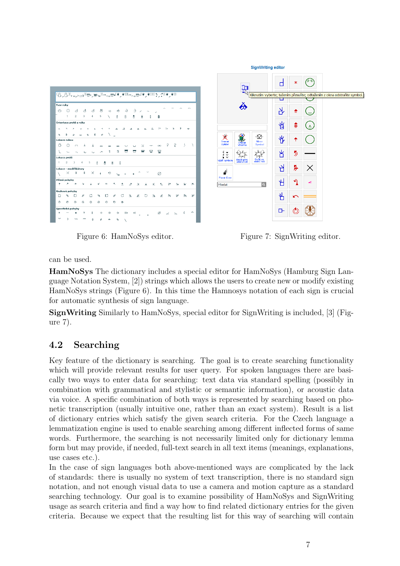

Figure 6: HamNoSys editor. Figure 7: SignWriting editor.

can be used.

HamNoSys The dictionary includes a special editor for HamNoSys (Hamburg Sign Language Notation System, [2]) strings which allows the users to create new or modify existing HamNoSys strings (Figure 6). In this time the Hamnosys notation of each sign is crucial for automatic synthesis of sign language.

SignWriting Similarly to HamNoSys, special editor for SignWriting is included, [3] (Figure 7).

## 4.2 Searching

Key feature of the dictionary is searching. The goal is to create searching functionality which will provide relevant results for user query. For spoken languages there are basically two ways to enter data for searching: text data via standard spelling (possibly in combination with grammatical and stylistic or semantic information), or acoustic data via voice. A specific combination of both ways is represented by searching based on phonetic transcription (usually intuitive one, rather than an exact system). Result is a list of dictionary entries which satisfy the given search criteria. For the Czech language a lemmatization engine is used to enable searching among different inflected forms of same words. Furthermore, the searching is not necessarily limited only for dictionary lemma form but may provide, if needed, full-text search in all text items (meanings, explanations, use cases etc.).

In the case of sign languages both above-mentioned ways are complicated by the lack of standards: there is usually no system of text transcription, there is no standard sign notation, and not enough visual data to use a camera and motion capture as a standard searching technology. Our goal is to examine possibility of HamNoSys and SignWriting usage as search criteria and find a way how to find related dictionary entries for the given criteria. Because we expect that the resulting list for this way of searching will contain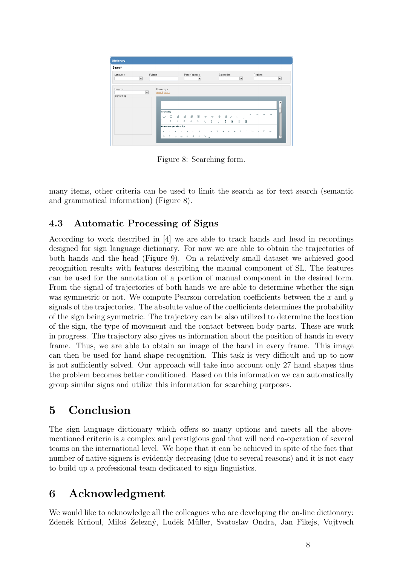| Search      |                          |                             |                        |                |              |                                |   |            |                                                       |  |  |                                                             |              |              |    |      |                |                          |
|-------------|--------------------------|-----------------------------|------------------------|----------------|--------------|--------------------------------|---|------------|-------------------------------------------------------|--|--|-------------------------------------------------------------|--------------|--------------|----|------|----------------|--------------------------|
|             |                          |                             |                        |                |              |                                |   |            |                                                       |  |  |                                                             |              |              |    |      |                |                          |
| Language    |                          | Fulltext                    |                        | Part of speech |              |                                |   | Categories |                                                       |  |  |                                                             | Regions      |              |    | 宝    |                |                          |
|             | $\overline{\phantom{a}}$ |                             |                        |                |              | $\overline{\phantom{a}}$       |   |            |                                                       |  |  | $\overline{\phantom{a}}$                                    |              |              |    |      |                |                          |
|             |                          |                             |                        |                |              |                                |   |            |                                                       |  |  |                                                             |              |              |    |      |                |                          |
| Lessons     | $\blacktriangledown$     | Hamnosys<br>$size + size -$ |                        |                |              |                                |   |            |                                                       |  |  |                                                             |              |              |    |      |                |                          |
| Signwriting |                          |                             |                        |                |              |                                |   |            |                                                       |  |  |                                                             |              |              |    |      |                |                          |
|             |                          |                             |                        |                |              |                                |   |            |                                                       |  |  |                                                             |              |              |    |      |                | $\overline{\phantom{a}}$ |
|             |                          |                             |                        |                |              |                                |   |            |                                                       |  |  |                                                             |              |              |    |      |                | $\frac{1}{2}$            |
|             |                          | <b>Tvar ruky</b>            |                        |                |              |                                |   |            |                                                       |  |  |                                                             |              |              |    |      |                |                          |
|             |                          |                             |                        |                |              |                                |   |            |                                                       |  |  |                                                             |              |              |    |      | $\blacksquare$ |                          |
|             |                          | Ö                           | ٥                      |                |              |                                |   |            |                                                       |  |  |                                                             |              |              |    |      |                |                          |
|             |                          |                             | л.                     | $2 \t3$        |              | 45                             |   |            | $\vee$ $\begin{array}{ccc} 0 & 0 & 0 & 0 \end{array}$ |  |  | O                                                           | 0            |              |    |      |                |                          |
|             |                          |                             | Orientace prstů a ruky |                |              |                                |   |            |                                                       |  |  |                                                             |              |              |    |      |                |                          |
|             |                          | $\hat{\phantom{a}}$         |                        |                | $\checkmark$ | $\overline{\phantom{a}}$<br>×. | × | $\Delta$   | $\Delta$                                              |  |  | $\begin{array}{cccccccccccccc} A & X & A & A & \end{array}$ | $\mathbb{R}$ | $\mathbf{L}$ | k. | - 10 | $\bullet$      |                          |

Figure 8: Searching form.

many items, other criteria can be used to limit the search as for text search (semantic and grammatical information) (Figure 8).

### 4.3 Automatic Processing of Signs

According to work described in [4] we are able to track hands and head in recordings designed for sign language dictionary. For now we are able to obtain the trajectories of both hands and the head (Figure 9). On a relatively small dataset we achieved good recognition results with features describing the manual component of SL. The features can be used for the annotation of a portion of manual component in the desired form. From the signal of trajectories of both hands we are able to determine whether the sign was symmetric or not. We compute Pearson correlation coefficients between the  $x$  and  $y$ signals of the trajectories. The absolute value of the coefficients determines the probability of the sign being symmetric. The trajectory can be also utilized to determine the location of the sign, the type of movement and the contact between body parts. These are work in progress. The trajectory also gives us information about the position of hands in every frame. Thus, we are able to obtain an image of the hand in every frame. This image can then be used for hand shape recognition. This task is very difficult and up to now is not sufficiently solved. Our approach will take into account only 27 hand shapes thus the problem becomes better conditioned. Based on this information we can automatically group similar signs and utilize this information for searching purposes.

## 5 Conclusion

The sign language dictionary which offers so many options and meets all the abovementioned criteria is a complex and prestigious goal that will need co-operation of several teams on the international level. We hope that it can be achieved in spite of the fact that number of native signers is evidently decreasing (due to several reasons) and it is not easy to build up a professional team dedicated to sign linguistics.

# 6 Acknowledgment

We would like to acknowledge all the colleagues who are developing the on-line dictionary: Zdeněk Krňoul, Miloš Železný, Luděk Müller, Svatoslav Ondra, Jan Fikejs, Vojtvech